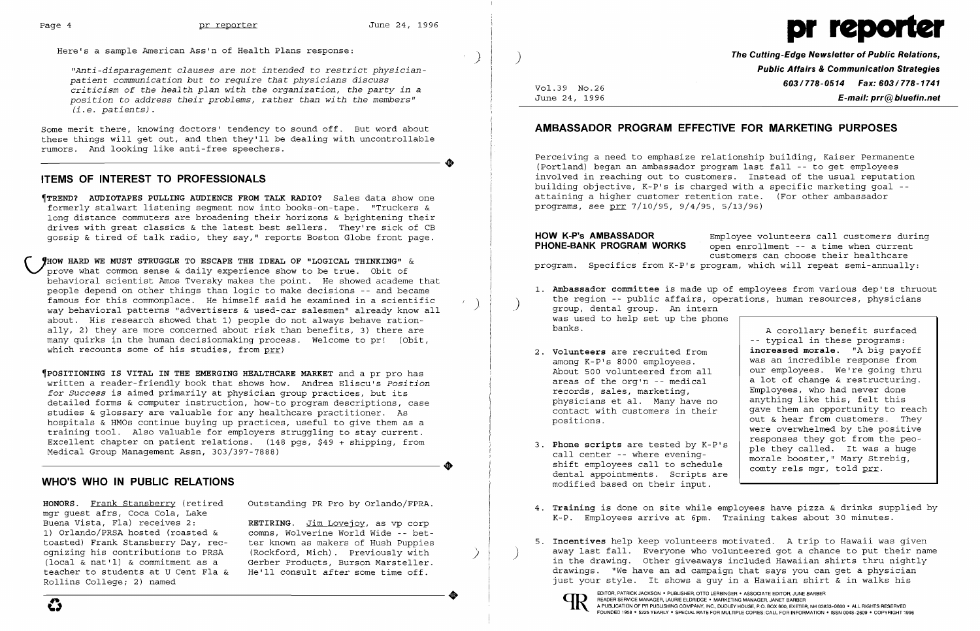$\clubsuit$ 



Here's a sample American Ass'n of Health Plans response:

*"Anti-disparagement clauses are* not *intended* to *restrict physicianpatient communication but* to *require that physicians discuss criticism of the health plan with the organization, the party in* <sup>a</sup> *position* to *address their problems, rather than with the members" (i.e. patients).* 

Some merit there, knowing doctors' tendency to sound off. But word about these things will get out, and then they'll be dealing with uncontrollable rumors. And looking like anti-free speechers.

# **ITEMS OF INTEREST TO PROFESSIONALS**

~TREND? **AUDIOTAPES PULLING AUDIENCE FROM TALK RADIO?** Sales data show one formerly stalwart listening segment now into books-on-tape. "Truckers & long distance commuters are broadening their horizons & brightening their drives with great classics & the latest best sellers. They're sick of CB gossip & tired of talk radio, they say," reports Boston Globe front page.

*r* **'HOW HARD WE MUST STRUGGLE TO ESCAPE THE IDEAL OF "LOGICAL THINKING"** & prove what common sense & daily experience show to be true. Obit of behavioral scientist Amos Tversky makes the point. He showed academe that people depend on other things than logic to make decisions -- and became famous for this commonplace. He himself said he examined in a scientific way behavioral patterns "advertisers & used-car salesmen" already know all about. His research showed that 1) people do not always behave rationally, 2) they are more concerned about risk than benefits, 3) there are many quirks in the human decisionmaking process. Welcome to pr! (Obit, which recounts some of his studies, from prr)

**Phone-Bank Coney in the set of the corrent open enrollment** -- a time when current customers can choose their healthcare

**HOW K-P's AMBASSADOR** Employee volunteers call customers during<br>**PHONE-BANK PROGRAM WORKS** open enrollment -- a time when current program. Specifics from K-P's program, which will repeat semi-annually:

1. **Ambassador committee**  is made up of employees from various dep'ts thruout the region -- public affairs, operations, human resources, physicians

~POSITIONING **IS VITAL IN THE EMERGING HEALTHCARE MARKET** and a pr pro has written a reader-friendly book that shows how. Andrea Eliscu's *position for Success* is aimed primarily at physician group practices, but its detailed forms & computer instruction, how-to program descriptions, case studies & glossary are valuable for any healthcare practitioner. As hospitals & HMOs continue buying up practices, useful to give them as a training tool. Also valuable for employers struggling to stay current. Excellent chapter on patient relations. (148 pgs, \$49 + shipping, from ----------------------+ Medical Group Management Assn, 303/397-7888)

A corollary benefit surfaced -- typical in these programs: **increased morale.** "A big payoff was an incredible response from our employees. We're going thru a lot of change & restructuring. Employees, who had never done anything like this, felt this gave them an opportunity to reach out & hear from customers. They were overwhelmed by the positive responses they got from the people they called. It was a huge morale booster," Mary Strebig, comty rels mgr, told prr.

### **WHO'S WHO IN PUBLIC RELATIONS**

**HONORS.** Frank Stansberry (retired mgr guest afrs, Coca Cola, Lake Buena Vista, Fla) receives 2: 1) Orlando/PRSA hosted (roasted & toasted) Frank Stansberry Day, recognizing his contributions to PRSA (local & nat'l) & commitment as a teacher to students at U Cent Fla & Rollins College; 2) named

- the region -- public affairs, ope (the region -- public affairs, ope ) was used to help set up the phone banks.
	- 2. **Volunteers** are recruited from among K-P's 8000 employees. About 500 volunteered from all areas of the org'n -- medical records, sales, marketing, physicians et al. Many have no contact with customers in their positions.
	- 3. **Phone scripts** are tested by K-P's call center -- where eveningshift employees call to schedule dental appointments. Scripts are modified based on their input.
	- K-P. Employees arrive at 6pm. Training takes about 30 minutes.
	-





Outstanding PR Pro by Orlando/FPRA.

**RETIRING.** Jim Lovejoy, as vp corp comns, Wolverine World Wide -- better known as makers of Hush Puppies (Rockford, Mich). Previously with Gerber Products, Burson Marsteller. He'll consult *after* some time off.

)

)

 $\sum$ 

Vol.39 No.26 June 24, 1996 **The Cutting-Edge Newsletter of Public Relations, Public Affairs & Communication Strategies 603/778-0514 Fax: 603/778-1741 E-mail: prr@bluefin.net** 

# **AMBASSADOR PROGRAM EFFECTIVE FOR MARKETING PURPOSES**

Perceiving a need to emphasize relationship building, Kaiser Permanente (Portland) began an ambassador program last fall -- to get employees involved in reaching out to customers. Instead of the usual reputation building objective,  $K-P's$  is charged with a specific marketing goal -attaining a higher customer retention rate. (For other ambassador programs, see prr 7/10/95, 9/4/95, 5/13/96)

4. **Training** is done on site while employees have pizza & drinks supplied by

5. **Incentives** help keep volunteers motivated. A trip to Hawaii was given ) away last fall. Everyone who volunteered got a chance to put their name in the drawing. Other giveaways included Hawaiian shirts thru nightly drawings. "We have an ad campaign that says you can get a physician just your style. It shows a guy in a Hawaiian shirt & in walks his

)